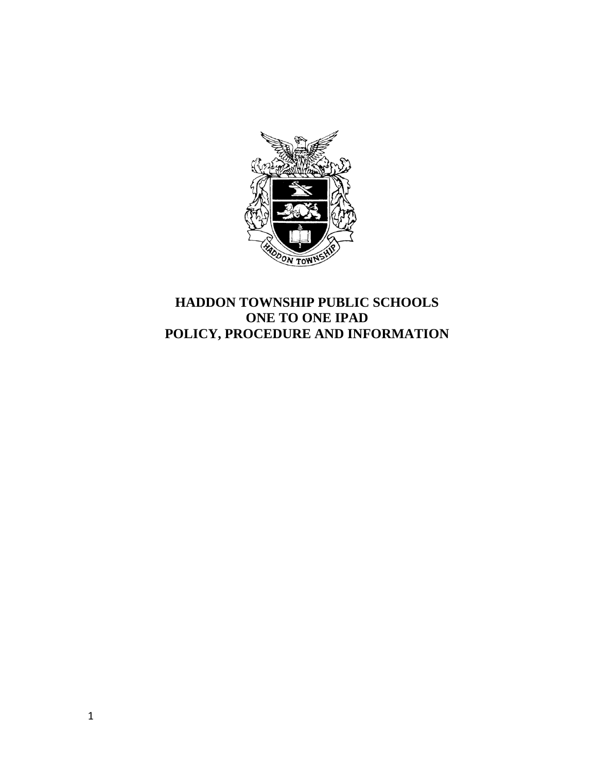

# **HADDON TOWNSHIP PUBLIC SCHOOLS ONE TO ONE IPAD POLICY, PROCEDURE AND INFORMATION**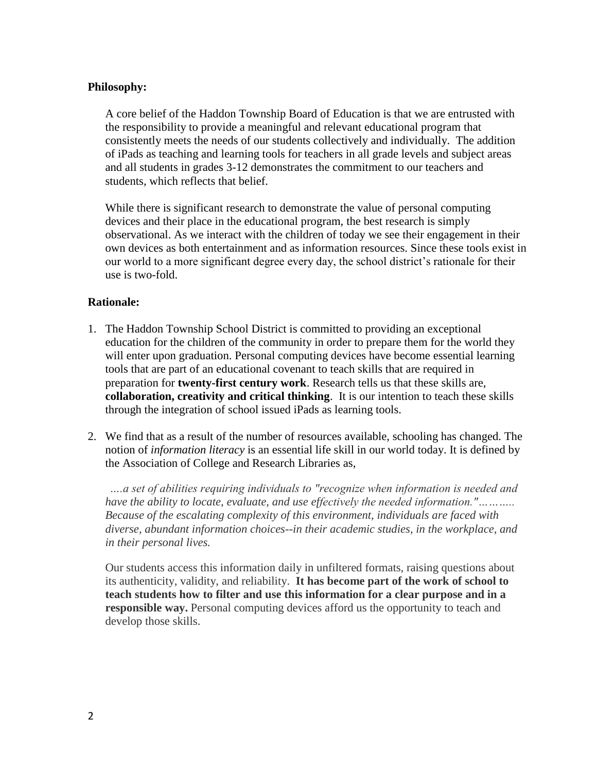#### **Philosophy:**

A core belief of the Haddon Township Board of Education is that we are entrusted with the responsibility to provide a meaningful and relevant educational program that consistently meets the needs of our students collectively and individually. The addition of iPads as teaching and learning tools for teachers in all grade levels and subject areas and all students in grades 3-12 demonstrates the commitment to our teachers and students, which reflects that belief.

While there is significant research to demonstrate the value of personal computing devices and their place in the educational program, the best research is simply observational. As we interact with the children of today we see their engagement in their own devices as both entertainment and as information resources. Since these tools exist in our world to a more significant degree every day, the school district's rationale for their use is two-fold.

#### **Rationale:**

- 1. The Haddon Township School District is committed to providing an exceptional education for the children of the community in order to prepare them for the world they will enter upon graduation. Personal computing devices have become essential learning tools that are part of an educational covenant to teach skills that are required in preparation for **twenty-first century work**. Research tells us that these skills are, **collaboration, creativity and critical thinking**. It is our intention to teach these skills through the integration of school issued iPads as learning tools.
- 2. We find that as a result of the number of resources available, schooling has changed. The notion of *information literacy* is an essential life skill in our world today. It is defined by the Association of College and Research Libraries as,

*….a set of abilities requiring individuals to "recognize when information is needed and have the ability to locate, evaluate, and use effectively the needed information."……….. Because of the escalating complexity of this environment, individuals are faced with diverse, abundant information choices--in their academic studies, in the workplace, and in their personal lives.*

Our students access this information daily in unfiltered formats, raising questions about its authenticity, validity, and reliability. **It has become part of the work of school to teach students how to filter and use this information for a clear purpose and in a responsible way.** Personal computing devices afford us the opportunity to teach and develop those skills.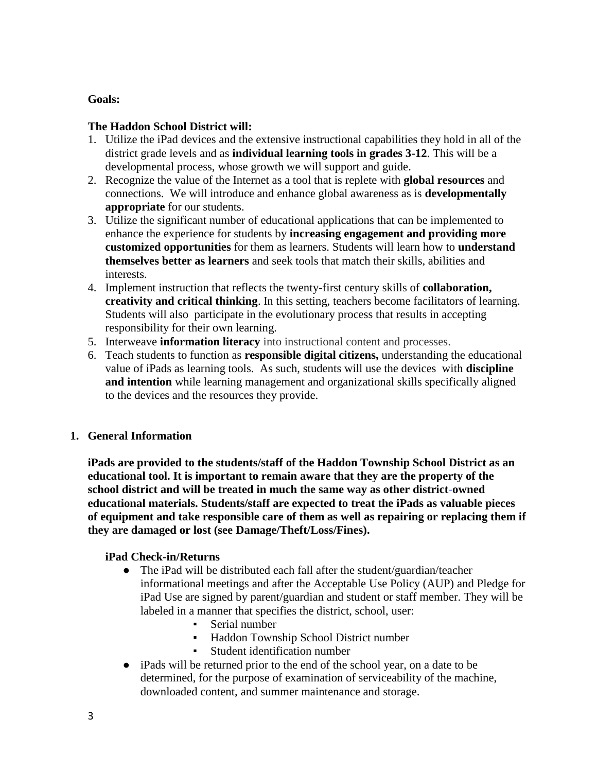### **Goals:**

### **The Haddon School District will:**

- 1. Utilize the iPad devices and the extensive instructional capabilities they hold in all of the district grade levels and as **individual learning tools in grades 3-12**. This will be a developmental process, whose growth we will support and guide.
- 2. Recognize the value of the Internet as a tool that is replete with **global resources** and connections. We will introduce and enhance global awareness as is **developmentally appropriate** for our students.
- 3. Utilize the significant number of educational applications that can be implemented to enhance the experience for students by **increasing engagement and providing more customized opportunities** for them as learners. Students will learn how to **understand themselves better as learners** and seek tools that match their skills, abilities and interests.
- 4. Implement instruction that reflects the twenty-first century skills of **collaboration, creativity and critical thinking**. In this setting, teachers become facilitators of learning. Students will also participate in the evolutionary process that results in accepting responsibility for their own learning.
- 5. Interweave **information literacy** into instructional content and processes.
- 6. Teach students to function as **responsible digital citizens,** understanding the educational value of iPads as learning tools. As such, students will use the devices with **discipline and intention** while learning management and organizational skills specifically aligned to the devices and the resources they provide.

# **1. General Information**

**iPads are provided to the students/staff of the Haddon Township School District as an educational tool. It is important to remain aware that they are the property of the school district and will be treated in much the same way as other district-owned educational materials. Students/staff are expected to treat the iPads as valuable pieces of equipment and take responsible care of them as well as repairing or replacing them if they are damaged or lost (see Damage/Theft/Loss/Fines).**

### **iPad Check-in/Returns**

- The iPad will be distributed each fall after the student/guardian/teacher informational meetings and after the Acceptable Use Policy (AUP) and Pledge for iPad Use are signed by parent/guardian and student or staff member. They will be labeled in a manner that specifies the district, school, user:
	- Serial number
	- Haddon Township School District number
	- Student identification number
- iPads will be returned prior to the end of the school year, on a date to be determined, for the purpose of examination of serviceability of the machine, downloaded content, and summer maintenance and storage.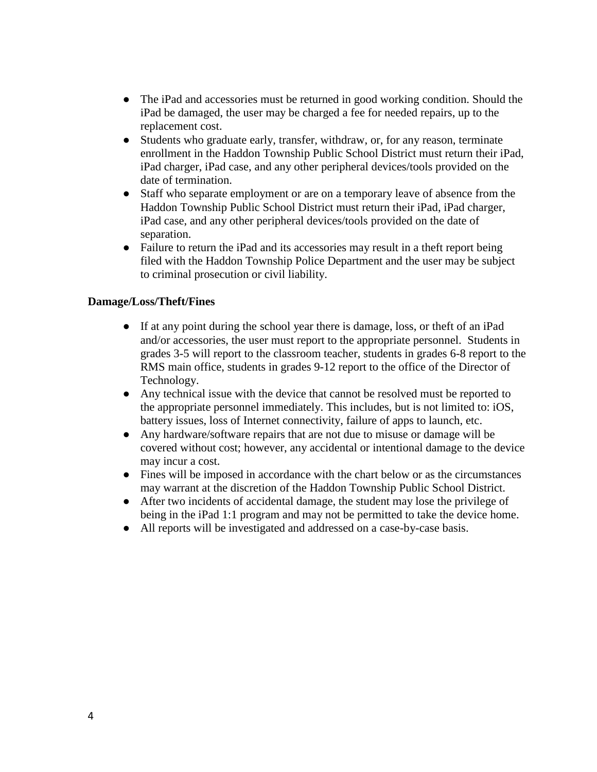- The iPad and accessories must be returned in good working condition. Should the iPad be damaged, the user may be charged a fee for needed repairs, up to the replacement cost.
- Students who graduate early, transfer, withdraw, or, for any reason, terminate enrollment in the Haddon Township Public School District must return their iPad, iPad charger, iPad case, and any other peripheral devices/tools provided on the date of termination.
- Staff who separate employment or are on a temporary leave of absence from the Haddon Township Public School District must return their iPad, iPad charger, iPad case, and any other peripheral devices/tools provided on the date of separation.
- Failure to return the iPad and its accessories may result in a theft report being filed with the Haddon Township Police Department and the user may be subject to criminal prosecution or civil liability.

#### **Damage/Loss/Theft/Fines**

- If at any point during the school year there is damage, loss, or theft of an iPad and/or accessories, the user must report to the appropriate personnel. Students in grades 3-5 will report to the classroom teacher, students in grades 6-8 report to the RMS main office, students in grades 9-12 report to the office of the Director of Technology.
- Any technical issue with the device that cannot be resolved must be reported to the appropriate personnel immediately. This includes, but is not limited to: iOS, battery issues, loss of Internet connectivity, failure of apps to launch, etc.
- Any hardware/software repairs that are not due to misuse or damage will be covered without cost; however, any accidental or intentional damage to the device may incur a cost.
- Fines will be imposed in accordance with the chart below or as the circumstances may warrant at the discretion of the Haddon Township Public School District.
- After two incidents of accidental damage, the student may lose the privilege of being in the iPad 1:1 program and may not be permitted to take the device home.
- All reports will be investigated and addressed on a case-by-case basis.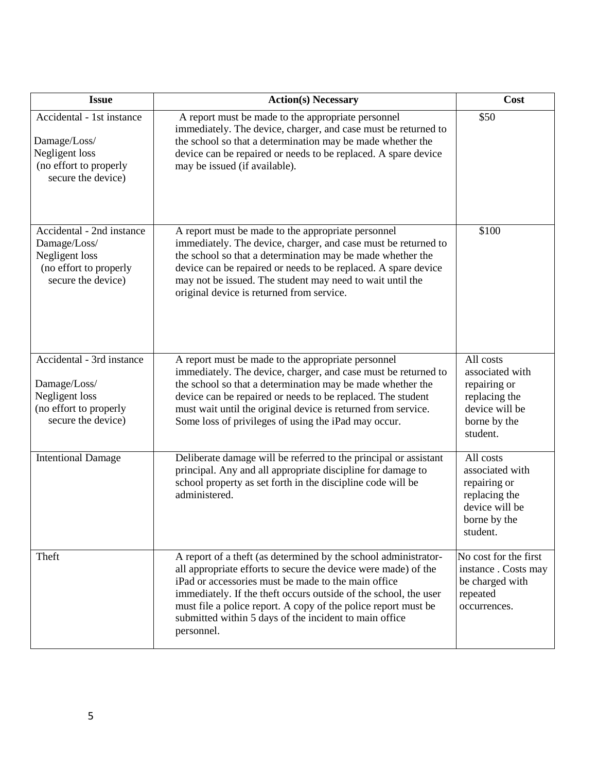| <b>Issue</b>                                                                                                | <b>Action(s) Necessary</b>                                                                                                                                                                                                                                                                                                                                                                             | Cost                                                                                                        |  |
|-------------------------------------------------------------------------------------------------------------|--------------------------------------------------------------------------------------------------------------------------------------------------------------------------------------------------------------------------------------------------------------------------------------------------------------------------------------------------------------------------------------------------------|-------------------------------------------------------------------------------------------------------------|--|
| Accidental - 1st instance<br>Damage/Loss/<br>Negligent loss<br>(no effort to properly<br>secure the device) | A report must be made to the appropriate personnel<br>immediately. The device, charger, and case must be returned to<br>the school so that a determination may be made whether the<br>device can be repaired or needs to be replaced. A spare device<br>may be issued (if available).                                                                                                                  | \$50                                                                                                        |  |
| Accidental - 2nd instance<br>Damage/Loss/<br>Negligent loss<br>(no effort to properly<br>secure the device) | A report must be made to the appropriate personnel<br>immediately. The device, charger, and case must be returned to<br>the school so that a determination may be made whether the<br>device can be repaired or needs to be replaced. A spare device<br>may not be issued. The student may need to wait until the<br>original device is returned from service.                                         | \$100                                                                                                       |  |
| Accidental - 3rd instance<br>Damage/Loss/<br>Negligent loss<br>(no effort to properly<br>secure the device) | A report must be made to the appropriate personnel<br>immediately. The device, charger, and case must be returned to<br>the school so that a determination may be made whether the<br>device can be repaired or needs to be replaced. The student<br>must wait until the original device is returned from service.<br>Some loss of privileges of using the iPad may occur.                             | All costs<br>associated with<br>repairing or<br>replacing the<br>device will be<br>borne by the<br>student. |  |
| <b>Intentional Damage</b>                                                                                   | Deliberate damage will be referred to the principal or assistant<br>principal. Any and all appropriate discipline for damage to<br>school property as set forth in the discipline code will be<br>administered.                                                                                                                                                                                        | All costs<br>associated with<br>repairing or<br>replacing the<br>device will be<br>borne by the<br>student. |  |
| Theft                                                                                                       | A report of a theft (as determined by the school administrator-<br>all appropriate efforts to secure the device were made) of the<br>iPad or accessories must be made to the main office<br>immediately. If the theft occurs outside of the school, the user<br>must file a police report. A copy of the police report must be<br>submitted within 5 days of the incident to main office<br>personnel. | No cost for the first<br>instance. Costs may<br>be charged with<br>repeated<br>occurrences.                 |  |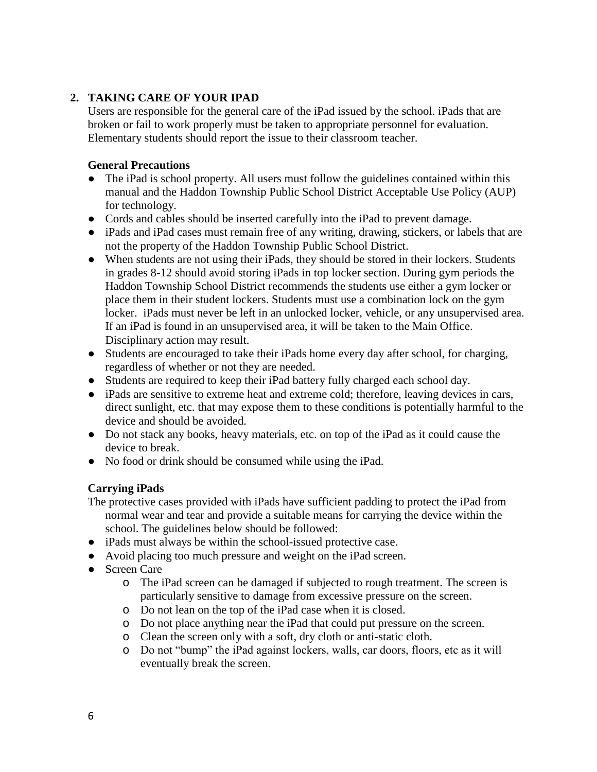### **2. TAKING CARE OF YOUR IPAD**

Users are responsible for the general care of the iPad issued by the school. iPads that are broken or fail to work properly must be taken to appropriate personnel for evaluation. Elementary students should report the issue to their classroom teacher.

#### **General Precautions**

- The iPad is school property. All users must follow the guidelines contained within this manual and the Haddon Township Public School District Acceptable Use Policy (AUP) for technology.
- Cords and cables should be inserted carefully into the iPad to prevent damage.
- iPads and iPad cases must remain free of any writing, drawing, stickers, or labels that are not the property of the Haddon Township Public School District.
- When students are not using their iPads, they should be stored in their lockers. Students in grades 8-12 should avoid storing iPads in top locker section. During gym periods the Haddon Township School District recommends the students use either a gym locker or place them in their student lockers. Students must use a combination lock on the gym locker. iPads must never be left in an unlocked locker, vehicle, or any unsupervised area. If an iPad is found in an unsupervised area, it will be taken to the Main Office. Disciplinary action may result.
- Students are encouraged to take their iPads home every day after school, for charging, regardless of whether or not they are needed.
- Students are required to keep their iPad battery fully charged each school day.
- iPads are sensitive to extreme heat and extreme cold; therefore, leaving devices in cars, direct sunlight, etc. that may expose them to these conditions is potentially harmful to the device and should be avoided.
- Do not stack any books, heavy materials, etc. on top of the iPad as it could cause the device to break.
- No food or drink should be consumed while using the iPad.

### **Carrying iPads**

The protective cases provided with iPads have sufficient padding to protect the iPad from normal wear and tear and provide a suitable means for carrying the device within the school. The guidelines below should be followed:

- iPads must always be within the school-issued protective case.
- Avoid placing too much pressure and weight on the iPad screen.
- Screen Care
	- o The iPad screen can be damaged if subjected to rough treatment. The screen is particularly sensitive to damage from excessive pressure on the screen.
	- o Do not lean on the top of the iPad case when it is closed.
	- o Do not place anything near the iPad that could put pressure on the screen.
	- o Clean the screen only with a soft, dry cloth or anti-static cloth.
	- o Do not "bump" the iPad against lockers, walls, car doors, floors, etc as it will eventually break the screen.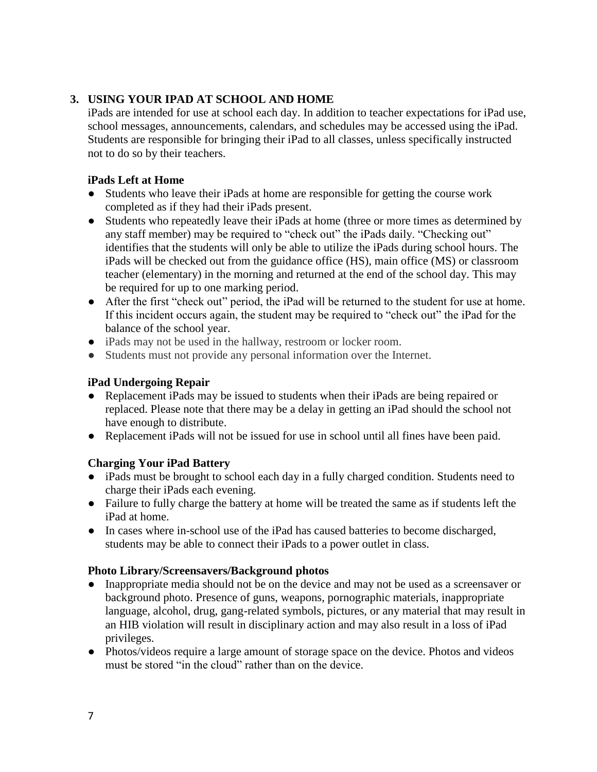### **3. USING YOUR IPAD AT SCHOOL AND HOME**

iPads are intended for use at school each day. In addition to teacher expectations for iPad use, school messages, announcements, calendars, and schedules may be accessed using the iPad. Students are responsible for bringing their iPad to all classes, unless specifically instructed not to do so by their teachers.

### **iPads Left at Home**

- Students who leave their iPads at home are responsible for getting the course work completed as if they had their iPads present.
- Students who repeatedly leave their iPads at home (three or more times as determined by any staff member) may be required to "check out" the iPads daily. "Checking out" identifies that the students will only be able to utilize the iPads during school hours. The iPads will be checked out from the guidance office (HS), main office (MS) or classroom teacher (elementary) in the morning and returned at the end of the school day. This may be required for up to one marking period.
- After the first "check out" period, the iPad will be returned to the student for use at home. If this incident occurs again, the student may be required to "check out" the iPad for the balance of the school year.
- iPads may not be used in the hallway, restroom or locker room.
- Students must not provide any personal information over the Internet.

### **iPad Undergoing Repair**

- Replacement iPads may be issued to students when their iPads are being repaired or replaced. Please note that there may be a delay in getting an iPad should the school not have enough to distribute.
- Replacement iPads will not be issued for use in school until all fines have been paid.

# **Charging Your iPad Battery**

- iPads must be brought to school each day in a fully charged condition. Students need to charge their iPads each evening.
- Failure to fully charge the battery at home will be treated the same as if students left the iPad at home.
- In cases where in-school use of the iPad has caused batteries to become discharged, students may be able to connect their iPads to a power outlet in class.

### **Photo Library/Screensavers/Background photos**

- Inappropriate media should not be on the device and may not be used as a screensaver or background photo. Presence of guns, weapons, pornographic materials, inappropriate language, alcohol, drug, gang-related symbols, pictures, or any material that may result in an HIB violation will result in disciplinary action and may also result in a loss of iPad privileges.
- Photos/videos require a large amount of storage space on the device. Photos and videos must be stored "in the cloud" rather than on the device.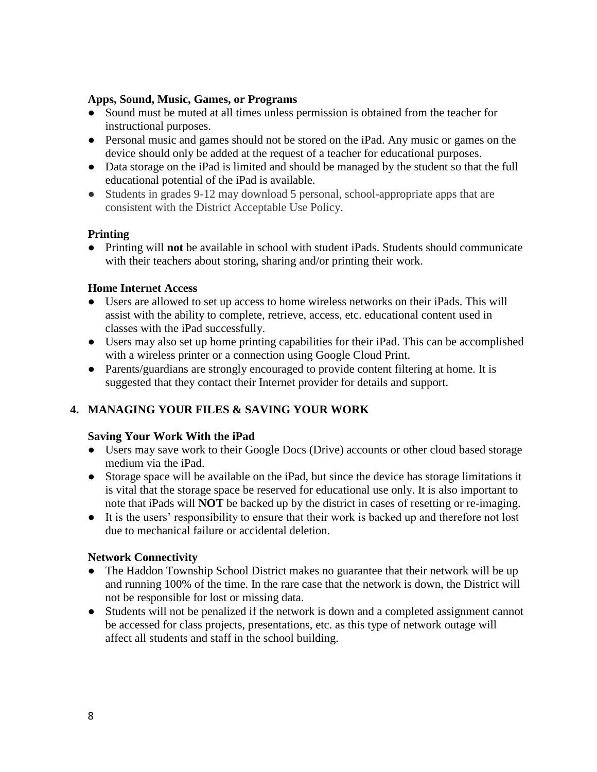#### **Apps, Sound, Music, Games, or Programs**

- Sound must be muted at all times unless permission is obtained from the teacher for instructional purposes.
- Personal music and games should not be stored on the iPad. Any music or games on the device should only be added at the request of a teacher for educational purposes.
- Data storage on the iPad is limited and should be managed by the student so that the full educational potential of the iPad is available.
- Students in grades 9-12 may download 5 personal, school-appropriate apps that are consistent with the District Acceptable Use Policy.

### **Printing**

● Printing will **not** be available in school with student iPads. Students should communicate with their teachers about storing, sharing and/or printing their work.

### **Home Internet Access**

- Users are allowed to set up access to home wireless networks on their iPads. This will assist with the ability to complete, retrieve, access, etc. educational content used in classes with the iPad successfully.
- Users may also set up home printing capabilities for their iPad. This can be accomplished with a wireless printer or a connection using Google Cloud Print.
- Parents/guardians are strongly encouraged to provide content filtering at home. It is suggested that they contact their Internet provider for details and support.

# **4. MANAGING YOUR FILES & SAVING YOUR WORK**

### **Saving Your Work With the iPad**

- Users may save work to their Google Docs (Drive) accounts or other cloud based storage medium via the iPad.
- Storage space will be available on the iPad, but since the device has storage limitations it is vital that the storage space be reserved for educational use only. It is also important to note that iPads will **NOT** be backed up by the district in cases of resetting or re-imaging.
- It is the users' responsibility to ensure that their work is backed up and therefore not lost due to mechanical failure or accidental deletion.

### **Network Connectivity**

- The Haddon Township School District makes no guarantee that their network will be up and running 100% of the time. In the rare case that the network is down, the District will not be responsible for lost or missing data.
- Students will not be penalized if the network is down and a completed assignment cannot be accessed for class projects, presentations, etc. as this type of network outage will affect all students and staff in the school building.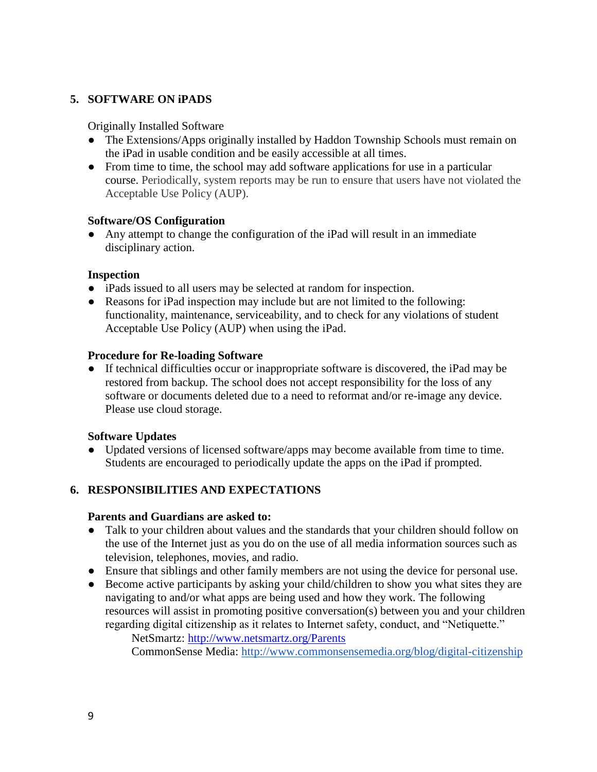# **5. SOFTWARE ON iPADS**

Originally Installed Software

- The Extensions/Apps originally installed by Haddon Township Schools must remain on the iPad in usable condition and be easily accessible at all times.
- From time to time, the school may add software applications for use in a particular course. Periodically, system reports may be run to ensure that users have not violated the Acceptable Use Policy (AUP).

### **Software/OS Configuration**

● Any attempt to change the configuration of the iPad will result in an immediate disciplinary action.

### **Inspection**

- iPads issued to all users may be selected at random for inspection.
- Reasons for iPad inspection may include but are not limited to the following: functionality, maintenance, serviceability, and to check for any violations of student Acceptable Use Policy (AUP) when using the iPad.

### **Procedure for Re-loading Software**

● If technical difficulties occur or inappropriate software is discovered, the iPad may be restored from backup. The school does not accept responsibility for the loss of any software or documents deleted due to a need to reformat and/or re-image any device. Please use cloud storage.

### **Software Updates**

● Updated versions of licensed software/apps may become available from time to time. Students are encouraged to periodically update the apps on the iPad if prompted.

# **6. RESPONSIBILITIES AND EXPECTATIONS**

#### **Parents and Guardians are asked to:**

- Talk to your children about values and the standards that your children should follow on the use of the Internet just as you do on the use of all media information sources such as television, telephones, movies, and radio.
- Ensure that siblings and other family members are not using the device for personal use.
- Become active participants by asking your child/children to show you what sites they are navigating to and/or what apps are being used and how they work. The following resources will assist in promoting positive conversation(s) between you and your children regarding digital citizenship as it relates to Internet safety, conduct, and "Netiquette." NetSmartz:<http://www.netsmartz.org/Parents>

CommonSense Media:<http://www.commonsensemedia.org/blog/digital-citizenship>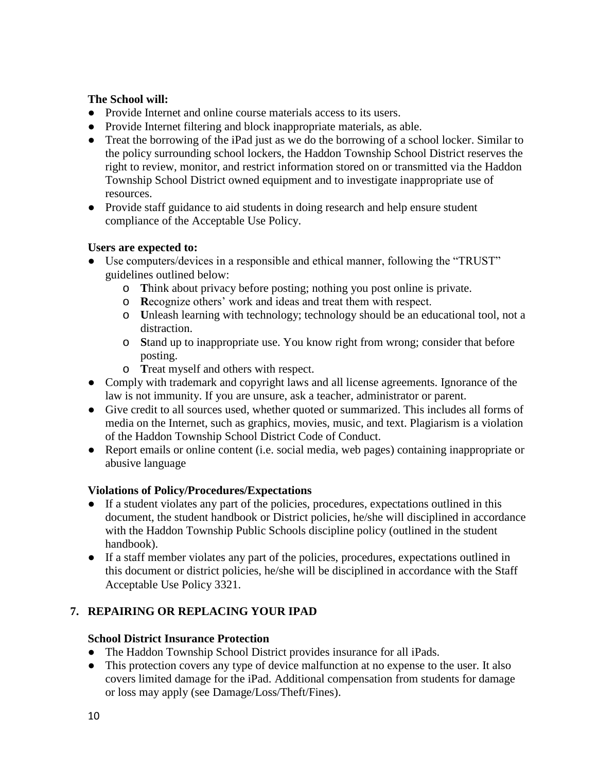### **The School will:**

- Provide Internet and online course materials access to its users.
- Provide Internet filtering and block inappropriate materials, as able.
- Treat the borrowing of the iPad just as we do the borrowing of a school locker. Similar to the policy surrounding school lockers, the Haddon Township School District reserves the right to review, monitor, and restrict information stored on or transmitted via the Haddon Township School District owned equipment and to investigate inappropriate use of resources.
- Provide staff guidance to aid students in doing research and help ensure student compliance of the Acceptable Use Policy.

### **Users are expected to:**

- Use computers/devices in a responsible and ethical manner, following the "TRUST" guidelines outlined below:
	- o **T**hink about privacy before posting; nothing you post online is private.
	- o **R**ecognize others' work and ideas and treat them with respect.
	- o **U**nleash learning with technology; technology should be an educational tool, not a distraction.
	- o **S**tand up to inappropriate use. You know right from wrong; consider that before posting.
	- o **T**reat myself and others with respect.
- Comply with trademark and copyright laws and all license agreements. Ignorance of the law is not immunity. If you are unsure, ask a teacher, administrator or parent.
- Give credit to all sources used, whether quoted or summarized. This includes all forms of media on the Internet, such as graphics, movies, music, and text. Plagiarism is a violation of the Haddon Township School District Code of Conduct.
- Report emails or online content (i.e. social media, web pages) containing inappropriate or abusive language

# **Violations of Policy/Procedures/Expectations**

- If a student violates any part of the policies, procedures, expectations outlined in this document, the student handbook or District policies, he/she will disciplined in accordance with the Haddon Township Public Schools discipline policy (outlined in the student handbook).
- If a staff member violates any part of the policies, procedures, expectations outlined in this document or district policies, he/she will be disciplined in accordance with the Staff Acceptable Use Policy 3321.

# **7. REPAIRING OR REPLACING YOUR IPAD**

# **School District Insurance Protection**

- The Haddon Township School District provides insurance for all iPads.
- This protection covers any type of device malfunction at no expense to the user. It also covers limited damage for the iPad. Additional compensation from students for damage or loss may apply (see Damage/Loss/Theft/Fines).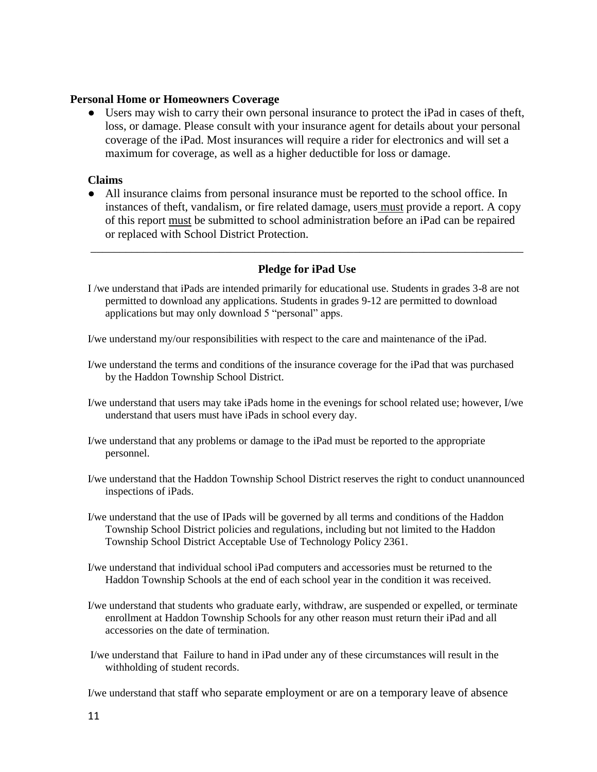#### **Personal Home or Homeowners Coverage**

● Users may wish to carry their own personal insurance to protect the iPad in cases of theft, loss, or damage. Please consult with your insurance agent for details about your personal coverage of the iPad. Most insurances will require a rider for electronics and will set a maximum for coverage, as well as a higher deductible for loss or damage.

#### **Claims**

● All insurance claims from personal insurance must be reported to the school office. In instances of theft, vandalism, or fire related damage, users must provide a report. A copy of this report must be submitted to school administration before an iPad can be repaired or replaced with School District Protection.

#### **Pledge for iPad Use**

\_\_\_\_\_\_\_\_\_\_\_\_\_\_\_\_\_\_\_\_\_\_\_\_\_\_\_\_\_\_\_\_\_\_\_\_\_\_\_\_\_\_\_\_\_\_\_\_\_\_\_\_\_\_\_\_\_\_\_\_\_\_\_\_\_\_\_\_\_\_\_\_\_\_

I /we understand that iPads are intended primarily for educational use. Students in grades 3-8 are not permitted to download any applications. Students in grades 9-12 are permitted to download applications but may only download 5 "personal" apps.

I/we understand my/our responsibilities with respect to the care and maintenance of the iPad.

- I/we understand the terms and conditions of the insurance coverage for the iPad that was purchased by the Haddon Township School District.
- I/we understand that users may take iPads home in the evenings for school related use; however, I/we understand that users must have iPads in school every day.
- I/we understand that any problems or damage to the iPad must be reported to the appropriate personnel.
- I/we understand that the Haddon Township School District reserves the right to conduct unannounced inspections of iPads.
- I/we understand that the use of IPads will be governed by all terms and conditions of the Haddon Township School District policies and regulations, including but not limited to the Haddon Township School District Acceptable Use of Technology Policy 2361.
- I/we understand that individual school iPad computers and accessories must be returned to the Haddon Township Schools at the end of each school year in the condition it was received.
- I/we understand that students who graduate early, withdraw, are suspended or expelled, or terminate enrollment at Haddon Township Schools for any other reason must return their iPad and all accessories on the date of termination.
- I/we understand that Failure to hand in iPad under any of these circumstances will result in the withholding of student records.

I/we understand that staff who separate employment or are on a temporary leave of absence